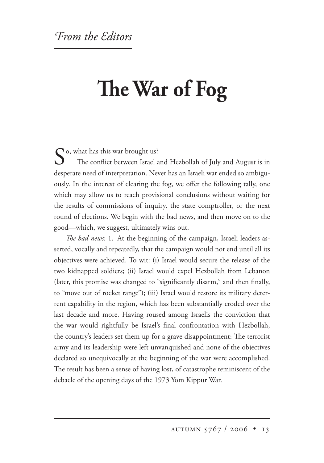## **e War of Fog**

 $\bigcap$  o, what has this war brought us? The conflict between Israel and Hezbollah of July and August is in desperate need of interpretation. Never has an Israeli war ended so ambiguously. In the interest of clearing the fog, we offer the following tally, one which may allow us to reach provisional conclusions without waiting for the results of commissions of inquiry, the state comptroller, or the next round of elections. We begin with the bad news, and then move on to the good—which, we suggest, ultimately wins out.

*e bad news*: 1. At the beginning of the campaign, Israeli leaders asserted, vocally and repeatedly, that the campaign would not end until all its objectives were achieved. To wit: (i) Israel would secure the release of the two kidnapped soldiers; (ii) Israel would expel Hezbollah from Lebanon (later, this promise was changed to "significantly disarm," and then finally, to "move out of rocket range"); (iii) Israel would restore its military deterrent capability in the region, which has been substantially eroded over the last decade and more. Having roused among Israelis the conviction that the war would rightfully be Israel's final confrontation with Hezbollah, the country's leaders set them up for a grave disappointment: The terrorist army and its leadership were left unvanquished and none of the objectives declared so unequivocally at the beginning of the war were accomplished. The result has been a sense of having lost, of catastrophe reminiscent of the debacle of the opening days of the 1973 Yom Kippur War.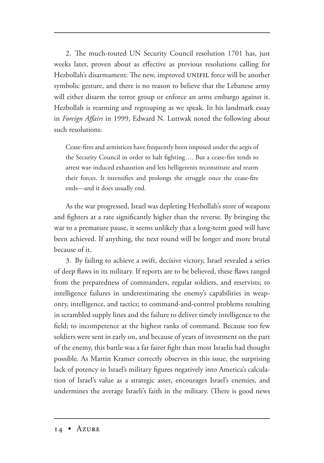2. The much-touted UN Security Council resolution 1701 has, just weeks later, proven about as effective as previous resolutions calling for Hezbollah's disarmament: The new, improved UNIFIL force will be another symbolic gesture, and there is no reason to believe that the Lebanese army will either disarm the terror group or enforce an arms embargo against it. Hezbollah is rearming and regrouping as we speak. In his landmark essay in *Foreign Affairs* in 1999, Edward N. Luttwak noted the following about such resolutions:

Cease-fires and armistices have frequently been imposed under the aegis of the Security Council in order to halt fighting…. But a cease-fire tends to arrest war-induced exhaustion and lets belligerents reconstitute and rearm their forces. It intensifies and prolongs the struggle once the cease-fire ends—and it does usually end.

As the war progressed, Israel was depleting Hezbollah's store of weapons and fighters at a rate significantly higher than the reverse. By bringing the war to a premature pause, it seems unlikely that a long-term good will have been achieved. If anything, the next round will be longer and more brutal because of it.

3. By failing to achieve a swift, decisive victory, Israel revealed a series of deep flaws in its military. If reports are to be believed, these flaws ranged from the preparedness of commanders, regular soldiers, and reservists; to intelligence failures in underestimating the enemy's capabilities in weaponry, intelligence, and tactics; to command-and-control problems resulting in scrambled supply lines and the failure to deliver timely intelligence to the field; to incompetence at the highest ranks of command. Because too few soldiers were sent in early on, and because of years of investment on the part of the enemy, this battle was a far fairer fight than most Israelis had thought possible. As Martin Kramer correctly observes in this issue, the surprising lack of potency in Israel's military figures negatively into America's calculation of Israel's value as a strategic asset, encourages Israel's enemies, and undermines the average Israeli's faith in the military. (There is good news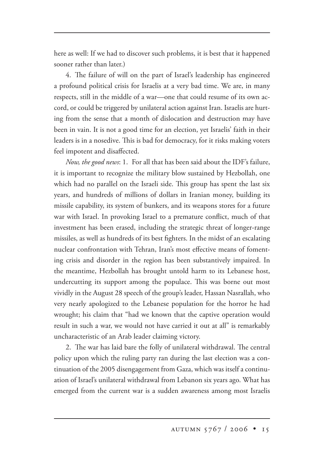here as well: If we had to discover such problems, it is best that it happened sooner rather than later.)

4. The failure of will on the part of Israel's leadership has engineered a profound political crisis for Israelis at a very bad time. We are, in many respects, still in the middle of a war—one that could resume of its own accord, or could be triggered by unilateral action against Iran. Israelis are hurting from the sense that a month of dislocation and destruction may have been in vain. It is not a good time for an election, yet Israelis' faith in their leaders is in a nosedive. This is bad for democracy, for it risks making voters feel impotent and disaffected.

*Now, the good news*: 1. For all that has been said about the IDF's failure, it is important to recognize the military blow sustained by Hezbollah, one which had no parallel on the Israeli side. This group has spent the last six years, and hundreds of millions of dollars in Iranian money, building its missile capability, its system of bunkers, and its weapons stores for a future war with Israel. In provoking Israel to a premature conflict, much of that investment has been erased, including the strategic threat of longer-range missiles, as well as hundreds of its best fighters. In the midst of an escalating nuclear confrontation with Tehran, Iran's most effective means of fomenting crisis and disorder in the region has been substantively impaired. In the meantime, Hezbollah has brought untold harm to its Lebanese host, undercutting its support among the populace. This was borne out most vividly in the August 28 speech of the group's leader, Hassan Nasrallah, who very nearly apologized to the Lebanese population for the horror he had wrought; his claim that "had we known that the captive operation would result in such a war, we would not have carried it out at all" is remarkably uncharacteristic of an Arab leader claiming victory.

2. The war has laid bare the folly of unilateral withdrawal. The central policy upon which the ruling party ran during the last election was a continuation of the 2005 disengagement from Gaza, which was itself a continuation of Israel's unilateral withdrawal from Lebanon six years ago. What has emerged from the current war is a sudden awareness among most Israelis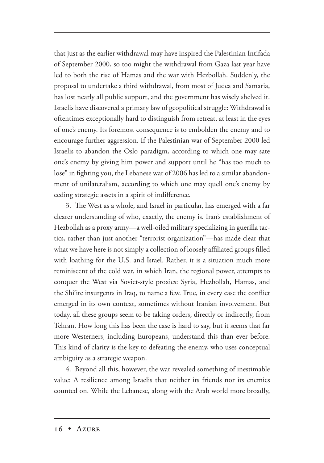that just as the earlier withdrawal may have inspired the Palestinian Intifada of September 2000, so too might the withdrawal from Gaza last year have led to both the rise of Hamas and the war with Hezbollah. Suddenly, the proposal to undertake a third withdrawal, from most of Judea and Samaria, has lost nearly all public support, and the government has wisely shelved it. Israelis have discovered a primary law of geopolitical struggle: Withdrawal is oftentimes exceptionally hard to distinguish from retreat, at least in the eyes of one's enemy. Its foremost consequence is to embolden the enemy and to encourage further aggression. If the Palestinian war of September 2000 led Israelis to abandon the Oslo paradigm, according to which one may sate one's enemy by giving him power and support until he "has too much to lose" in fighting you, the Lebanese war of 2006 has led to a similar abandonment of unilateralism, according to which one may quell one's enemy by ceding strategic assets in a spirit of indifference.

3. The West as a whole, and Israel in particular, has emerged with a far clearer understanding of who, exactly, the enemy is. Iran's establishment of Hezbollah as a proxy army—a well-oiled military specializing in guerilla tactics, rather than just another "terrorist organization"—has made clear that what we have here is not simply a collection of loosely affiliated groups filled with loathing for the U.S. and Israel. Rather, it is a situation much more reminiscent of the cold war, in which Iran, the regional power, attempts to conquer the West via Soviet-style proxies: Syria, Hezbollah, Hamas, and the Shi'ite insurgents in Iraq, to name a few. True, in every case the conflict emerged in its own context, sometimes without Iranian involvement. But today, all these groups seem to be taking orders, directly or indirectly, from Tehran. How long this has been the case is hard to say, but it seems that far more Westerners, including Europeans, understand this than ever before. This kind of clarity is the key to defeating the enemy, who uses conceptual ambiguity as a strategic weapon.

4. Beyond all this, however, the war revealed something of inestimable value: A resilience among Israelis that neither its friends nor its enemies counted on. While the Lebanese, along with the Arab world more broadly,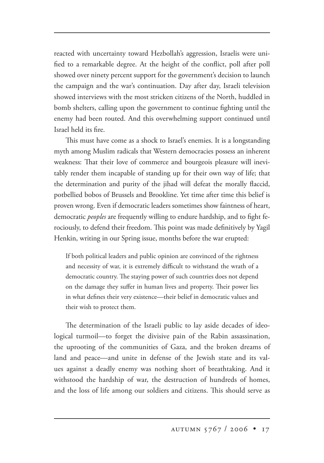reacted with uncertainty toward Hezbollah's aggression, Israelis were unified to a remarkable degree. At the height of the conflict, poll after poll showed over ninety percent support for the government's decision to launch the campaign and the war's continuation. Day after day, Israeli television showed interviews with the most stricken citizens of the North, huddled in bomb shelters, calling upon the government to continue fighting until the enemy had been routed. And this overwhelming support continued until Israel held its fire.

This must have come as a shock to Israel's enemies. It is a longstanding myth among Muslim radicals that Western democracies possess an inherent weakness: That their love of commerce and bourgeois pleasure will inevitably render them incapable of standing up for their own way of life; that the determination and purity of the jihad will defeat the morally flaccid, potbellied bobos of Brussels and Brookline. Yet time after time this belief is proven wrong. Even if democratic leaders sometimes show faintness of heart, democratic *peoples* are frequently willing to endure hardship, and to fight ferociously, to defend their freedom. This point was made definitively by Yagil Henkin, writing in our Spring issue, months before the war erupted:

If both political leaders and public opinion are convinced of the rightness and necessity of war, it is extremely difficult to withstand the wrath of a democratic country. The staying power of such countries does not depend on the damage they suffer in human lives and property. Their power lies in what defines their very existence—their belief in democratic values and their wish to protect them.

The determination of the Israeli public to lay aside decades of ideological turmoil—to forget the divisive pain of the Rabin assassination, the uprooting of the communities of Gaza, and the broken dreams of land and peace—and unite in defense of the Jewish state and its values against a deadly enemy was nothing short of breathtaking. And it withstood the hardship of war, the destruction of hundreds of homes, and the loss of life among our soldiers and citizens. This should serve as